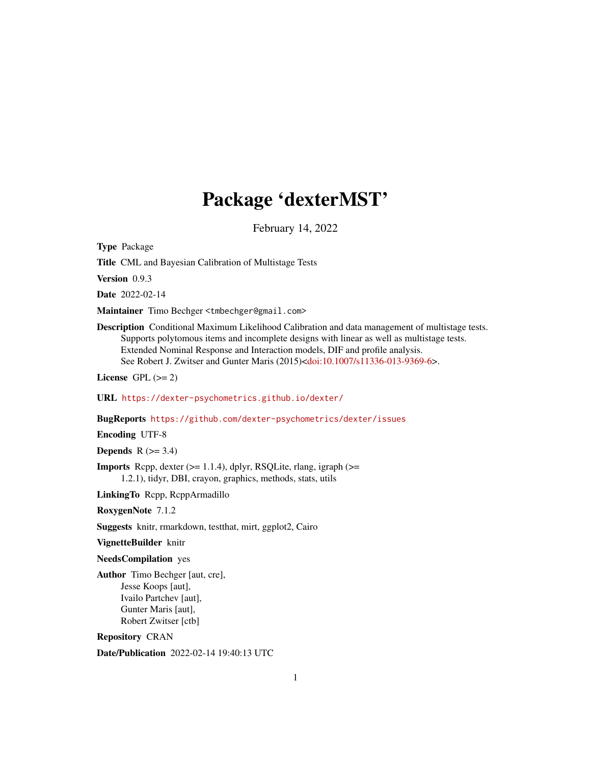# Package 'dexterMST'

February 14, 2022

<span id="page-0-0"></span>Type Package

Title CML and Bayesian Calibration of Multistage Tests

Version 0.9.3

Date 2022-02-14

Maintainer Timo Bechger <tmbechger@gmail.com>

Description Conditional Maximum Likelihood Calibration and data management of multistage tests. Supports polytomous items and incomplete designs with linear as well as multistage tests. Extended Nominal Response and Interaction models, DIF and profile analysis. See Robert J. Zwitser and Gunter Maris (2015)[<doi:10.1007/s11336-013-9369-6>](https://doi.org/10.1007/s11336-013-9369-6).

License GPL  $(>= 2)$ 

URL <https://dexter-psychometrics.github.io/dexter/>

BugReports <https://github.com/dexter-psychometrics/dexter/issues>

Encoding UTF-8

**Depends**  $R$  ( $>= 3.4$ )

**Imports** Rcpp, dexter  $(>= 1.1.4)$ , dplyr, RSQLite, rlang, igraph  $(>=$ 1.2.1), tidyr, DBI, crayon, graphics, methods, stats, utils

LinkingTo Rcpp, RcppArmadillo

RoxygenNote 7.1.2

Suggests knitr, rmarkdown, testthat, mirt, ggplot2, Cairo

VignetteBuilder knitr

NeedsCompilation yes

Author Timo Bechger [aut, cre], Jesse Koops [aut], Ivailo Partchev [aut], Gunter Maris [aut], Robert Zwitser [ctb]

Repository CRAN

Date/Publication 2022-02-14 19:40:13 UTC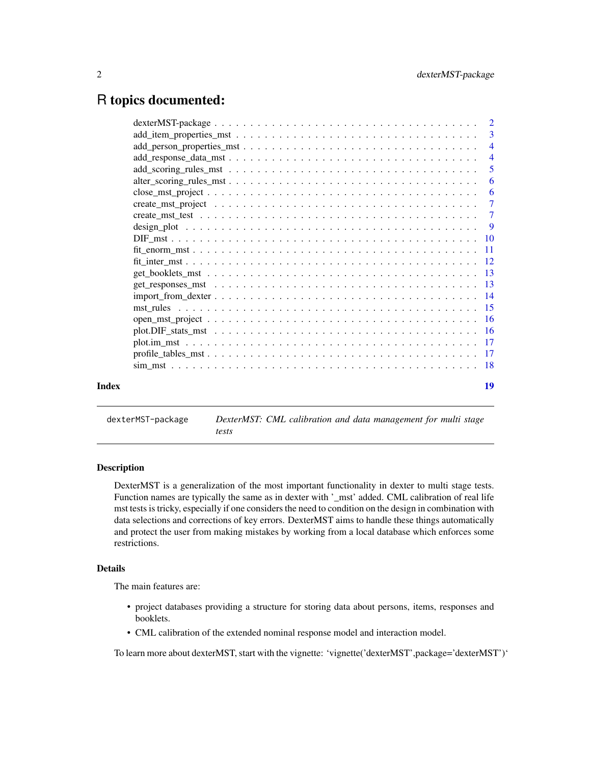# <span id="page-1-0"></span>R topics documented:

|       |                                                                                                               | -6 |
|-------|---------------------------------------------------------------------------------------------------------------|----|
|       |                                                                                                               |    |
|       |                                                                                                               |    |
|       |                                                                                                               |    |
|       |                                                                                                               |    |
|       |                                                                                                               |    |
|       |                                                                                                               |    |
|       |                                                                                                               |    |
|       |                                                                                                               |    |
|       |                                                                                                               |    |
|       | $import\_from\_dexter \ldots \ldots \ldots \ldots \ldots \ldots \ldots \ldots \ldots \ldots \ldots \ldots 14$ |    |
|       |                                                                                                               |    |
|       |                                                                                                               |    |
|       |                                                                                                               |    |
|       |                                                                                                               |    |
|       |                                                                                                               |    |
|       |                                                                                                               |    |
| Index |                                                                                                               | 19 |

dexterMST-package *DexterMST: CML calibration and data management for multi stage tests*

#### Description

DexterMST is a generalization of the most important functionality in dexter to multi stage tests. Function names are typically the same as in dexter with '\_mst' added. CML calibration of real life mst tests is tricky, especially if one considers the need to condition on the design in combination with data selections and corrections of key errors. DexterMST aims to handle these things automatically and protect the user from making mistakes by working from a local database which enforces some restrictions.

# Details

The main features are:

- project databases providing a structure for storing data about persons, items, responses and booklets.
- CML calibration of the extended nominal response model and interaction model.

To learn more about dexterMST, start with the vignette: 'vignette('dexterMST',package='dexterMST')'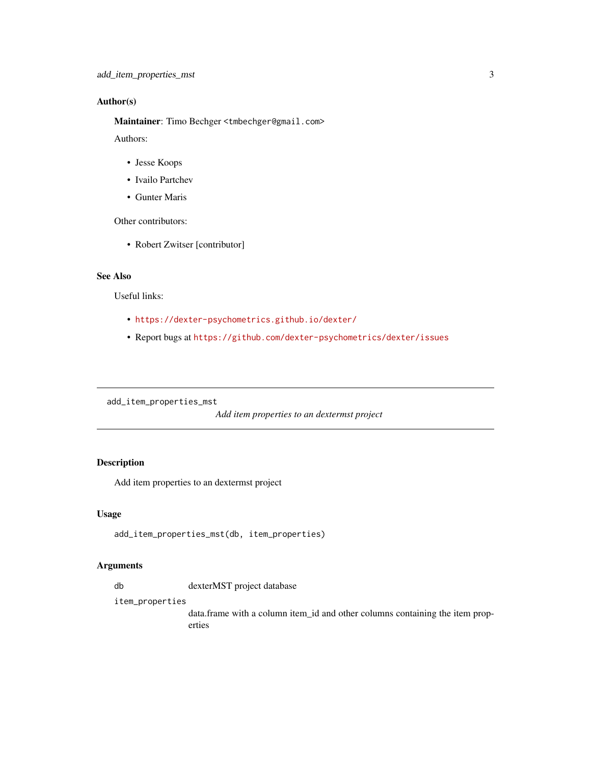# <span id="page-2-0"></span>Author(s)

Maintainer: Timo Bechger <tmbechger@gmail.com>

Authors:

- Jesse Koops
- Ivailo Partchev
- Gunter Maris

Other contributors:

• Robert Zwitser [contributor]

# See Also

Useful links:

- <https://dexter-psychometrics.github.io/dexter/>
- Report bugs at <https://github.com/dexter-psychometrics/dexter/issues>

add\_item\_properties\_mst

*Add item properties to an dextermst project*

# Description

Add item properties to an dextermst project

#### Usage

```
add_item_properties_mst(db, item_properties)
```
#### Arguments

db dexterMST project database

item\_properties

data.frame with a column item\_id and other columns containing the item properties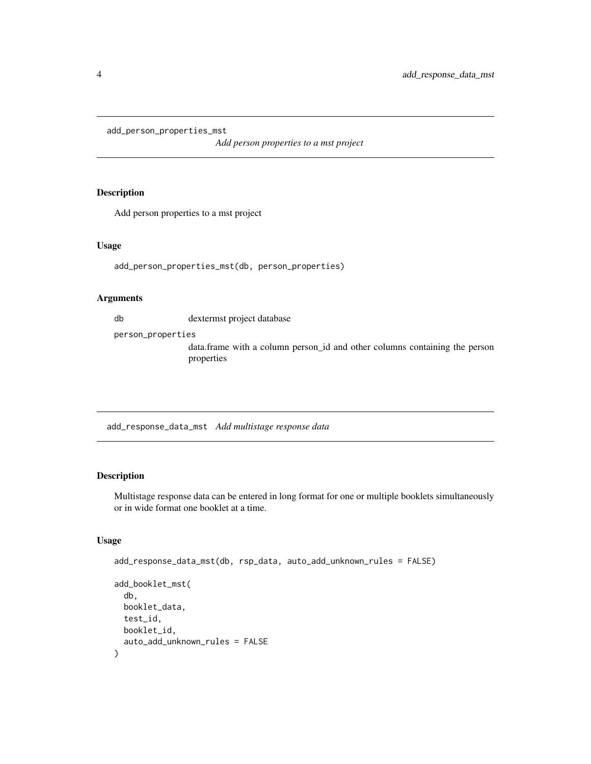<span id="page-3-0"></span>add\_person\_properties\_mst

*Add person properties to a mst project*

#### Description

Add person properties to a mst project

#### Usage

add\_person\_properties\_mst(db, person\_properties)

#### Arguments

db dextermst project database

person\_properties

data.frame with a column person\_id and other columns containing the person properties

<span id="page-3-1"></span>add\_response\_data\_mst *Add multistage response data*

# Description

Multistage response data can be entered in long format for one or multiple booklets simultaneously or in wide format one booklet at a time.

### Usage

```
add_response_data_mst(db, rsp_data, auto_add_unknown_rules = FALSE)
add_booklet_mst(
  db,
 booklet_data,
 test_id,
 booklet_id,
  auto_add_unknown_rules = FALSE
\mathcal{E}
```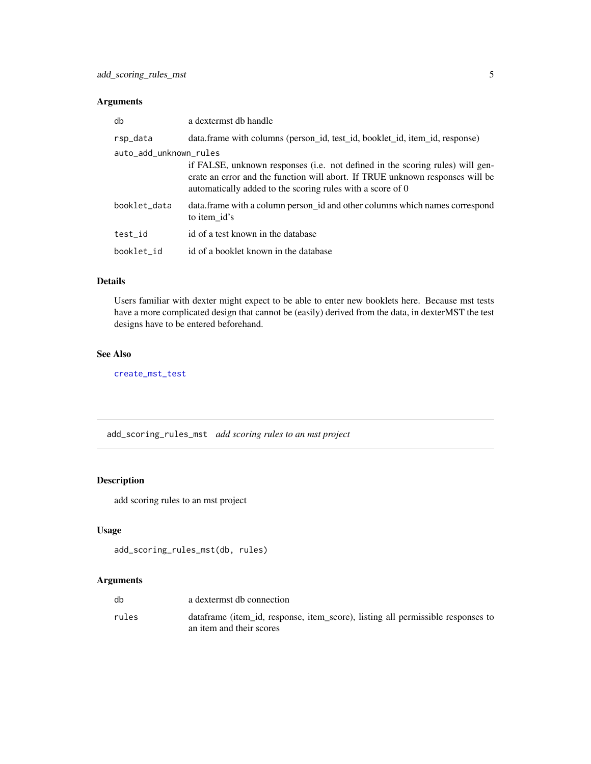# <span id="page-4-0"></span>Arguments

| db                     | a dextermst db handle                                                                                                                                                                                                        |
|------------------------|------------------------------------------------------------------------------------------------------------------------------------------------------------------------------------------------------------------------------|
| rsp_data               | data.frame with columns (person_id, test_id, booklet_id, item_id, response)                                                                                                                                                  |
| auto_add_unknown_rules |                                                                                                                                                                                                                              |
|                        | if FALSE, unknown responses (i.e. not defined in the scoring rules) will gen-<br>erate an error and the function will abort. If TRUE unknown responses will be<br>automatically added to the scoring rules with a score of 0 |
| booklet_data           | data. frame with a column person_id and other columns which names correspond<br>to item id's                                                                                                                                 |
| test_id                | id of a test known in the database                                                                                                                                                                                           |
| booklet_id             | id of a booklet known in the database                                                                                                                                                                                        |

# Details

Users familiar with dexter might expect to be able to enter new booklets here. Because mst tests have a more complicated design that cannot be (easily) derived from the data, in dexterMST the test designs have to be entered beforehand.

# See Also

[create\\_mst\\_test](#page-6-1)

add\_scoring\_rules\_mst *add scoring rules to an mst project*

# Description

add scoring rules to an mst project

# Usage

```
add_scoring_rules_mst(db, rules)
```

| db    | a dextermst db connection                                                                                   |
|-------|-------------------------------------------------------------------------------------------------------------|
| rules | dataframe (item_id, response, item_score), listing all permissible responses to<br>an item and their scores |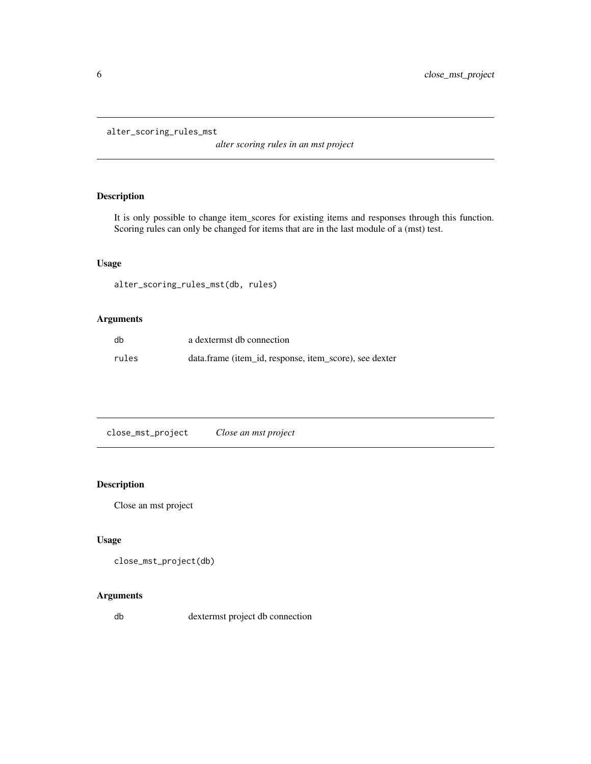```
alter_scoring_rules_mst
```
*alter scoring rules in an mst project*

# Description

It is only possible to change item\_scores for existing items and responses through this function. Scoring rules can only be changed for items that are in the last module of a (mst) test.

# Usage

alter\_scoring\_rules\_mst(db, rules)

# Arguments

| db    | a dextermst db connection                              |
|-------|--------------------------------------------------------|
| rules | data.frame (item_id, response, item_score), see dexter |

close\_mst\_project *Close an mst project*

# Description

Close an mst project

# Usage

```
close_mst_project(db)
```
# Arguments

db dextermst project db connection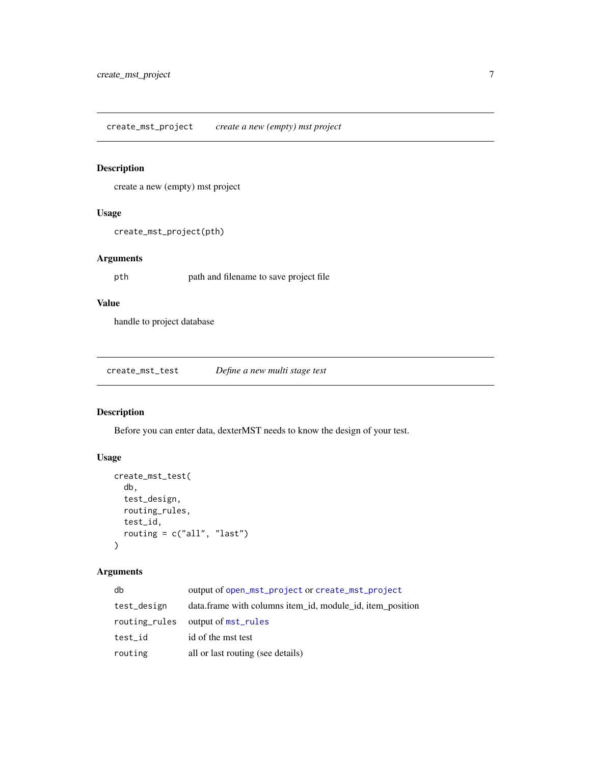<span id="page-6-2"></span><span id="page-6-0"></span>create\_mst\_project *create a new (empty) mst project*

# Description

create a new (empty) mst project

# Usage

```
create_mst_project(pth)
```
# Arguments

pth path and filename to save project file

# Value

handle to project database

<span id="page-6-1"></span>create\_mst\_test *Define a new multi stage test*

# Description

Before you can enter data, dexterMST needs to know the design of your test.

# Usage

```
create_mst_test(
  db,
  test_design,
  routing_rules,
  test_id,
  routing = c("all", "last")
)
```

| db            | output of open_mst_project or create_mst_project          |
|---------------|-----------------------------------------------------------|
| test_design   | data.frame with columns item_id, module_id, item_position |
| routing_rules | output of mst_rules                                       |
| test_id       | id of the mst test                                        |
| routing       | all or last routing (see details)                         |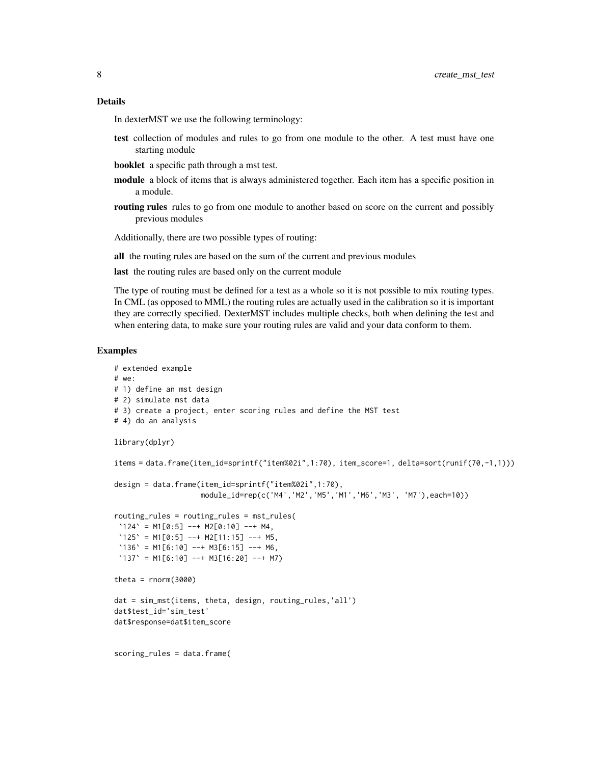#### Details

In dexterMST we use the following terminology:

- test collection of modules and rules to go from one module to the other. A test must have one starting module
- booklet a specific path through a mst test.
- module a block of items that is always administered together. Each item has a specific position in a module.
- routing rules rules to go from one module to another based on score on the current and possibly previous modules

Additionally, there are two possible types of routing:

all the routing rules are based on the sum of the current and previous modules

last the routing rules are based only on the current module

The type of routing must be defined for a test as a whole so it is not possible to mix routing types. In CML (as opposed to MML) the routing rules are actually used in the calibration so it is important they are correctly specified. DexterMST includes multiple checks, both when defining the test and when entering data, to make sure your routing rules are valid and your data conform to them.

#### Examples

```
# extended example
# we:
# 1) define an mst design
# 2) simulate mst data
# 3) create a project, enter scoring rules and define the MST test
# 4) do an analysis
library(dplyr)
items = data.frame(item_id=sprintf("item%02i",1:70), item_score=1, delta=sort(runif(70,-1,1)))
design = data.frame(item_id=sprintf("item%02i",1:70),
                      module_id=rep(c('M4','M2','M5','M1','M6','M3', 'M7'),each=10))
routing_rules = routing_rules = mst_rules(
\text{'124'} = \text{M1[0:5]} --+ \text{M2[0:10]} --+ \text{M4},\text{'125'} = \text{M1[0:5]} --+ \text{M2[11:15]} --+ \text{M5},\text{'136'} = \text{M1}[6:10] \text{ --+} \text{M3}[6:15] \text{ --+} \text{M6},'137' = M1[6:10] --+ M3[16:20] --+ M7)
theta = rnorm(3000)dat = sim_mst(items, theta, design, routing_rules,'all')
dat$test_id='sim_test'
dat$response=dat$item_score
scoring_rules = data.frame(
```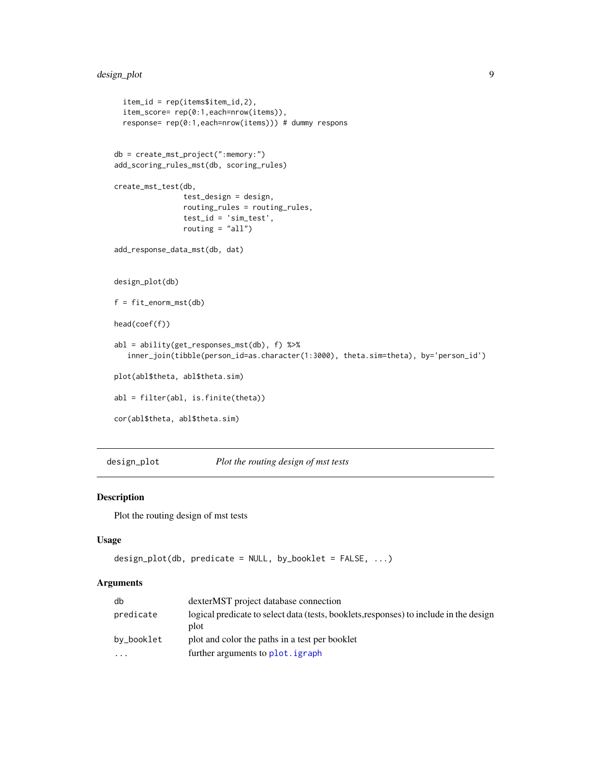# <span id="page-8-0"></span>design\_plot 9

```
item_id = rep(items$item_id,2),
  item_score= rep(0:1,each=nrow(items)),
  response= rep(0:1,each=nrow(items))) # dummy respons
db = create_mst_project(":memory:")
add_scoring_rules_mst(db, scoring_rules)
create_mst_test(db,
                test_design = design,
                routing_rules = routing_rules,
                test_id = 'sim_test',
                routing = "all")
add_response_data_mst(db, dat)
design_plot(db)
f = fit_enorm_mst(db)
head(coef(f))
abl = ability(get_responses_mst(db), f) %>%
   inner_join(tibble(person_id=as.character(1:3000), theta.sim=theta), by='person_id')
plot(abl$theta, abl$theta.sim)
abl = filter(abl, is.finite(theta))
cor(abl$theta, abl$theta.sim)
```
design\_plot *Plot the routing design of mst tests*

#### Description

Plot the routing design of mst tests

### Usage

```
design_plot(db, predicate = NULL, by_booklet = FALSE, ...)
```

| db         | dexterMST project database connection                                                          |
|------------|------------------------------------------------------------------------------------------------|
| predicate  | logical predicate to select data (tests, booklets, responses) to include in the design<br>plot |
| by_booklet | plot and color the paths in a test per booklet                                                 |
| $\cdot$    | further arguments to plot. igraph                                                              |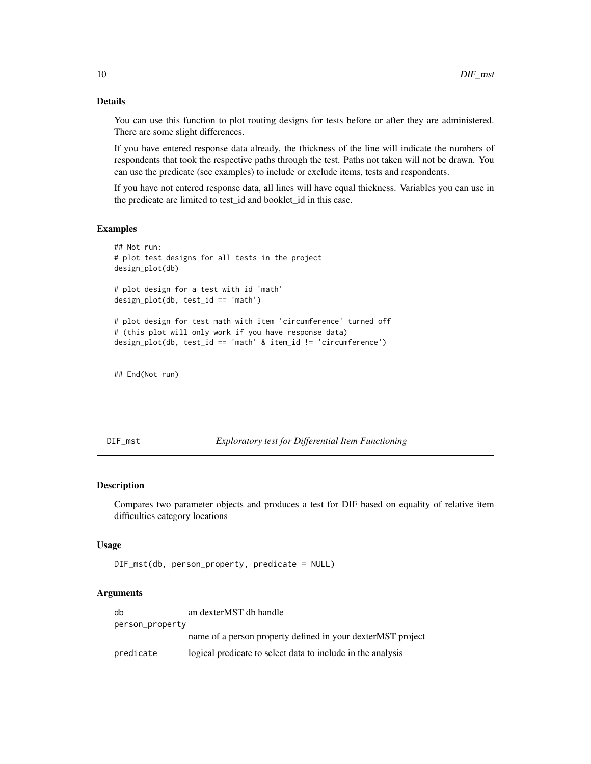# Details

You can use this function to plot routing designs for tests before or after they are administered. There are some slight differences.

If you have entered response data already, the thickness of the line will indicate the numbers of respondents that took the respective paths through the test. Paths not taken will not be drawn. You can use the predicate (see examples) to include or exclude items, tests and respondents.

If you have not entered response data, all lines will have equal thickness. Variables you can use in the predicate are limited to test\_id and booklet\_id in this case.

#### Examples

```
## Not run:
# plot test designs for all tests in the project
design_plot(db)
# plot design for a test with id 'math'
design_plot(db, test_id == 'math')
# plot design for test math with item 'circumference' turned off
# (this plot will only work if you have response data)
design_plot(db, test_id == 'math' & item_id != 'circumference')
```
## End(Not run)

DIF\_mst *Exploratory test for Differential Item Functioning*

# Description

Compares two parameter objects and produces a test for DIF based on equality of relative item difficulties category locations

#### Usage

```
DIF_mst(db, person_property, predicate = NULL)
```

| db              | an dexterMST db handle                                       |
|-----------------|--------------------------------------------------------------|
| person_property |                                                              |
|                 | name of a person property defined in your dexter MST project |
| predicate       | logical predicate to select data to include in the analysis  |

<span id="page-9-0"></span>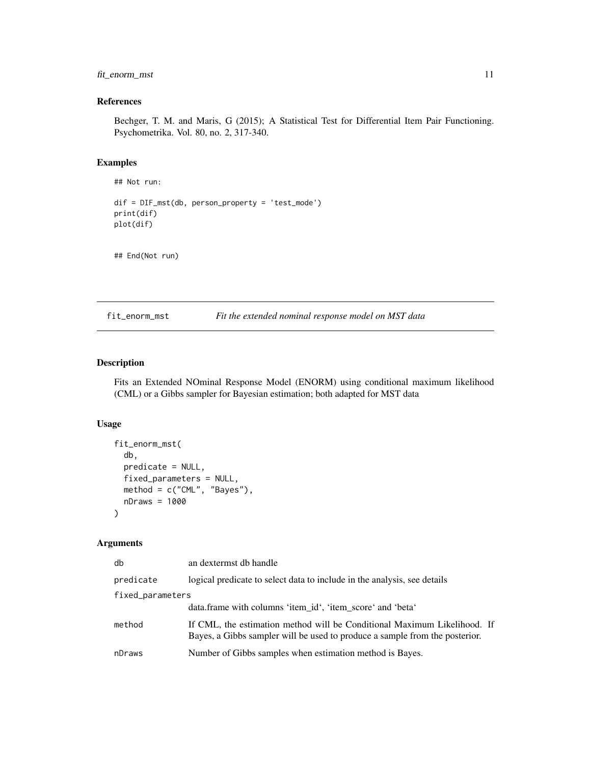# <span id="page-10-0"></span>fit\_enorm\_mst 11

# References

Bechger, T. M. and Maris, G (2015); A Statistical Test for Differential Item Pair Functioning. Psychometrika. Vol. 80, no. 2, 317-340.

#### Examples

```
## Not run:
dif = DIF_mst(db, person_property = 'test_mode')
print(dif)
plot(dif)
```
## End(Not run)

<span id="page-10-1"></span>fit\_enorm\_mst *Fit the extended nominal response model on MST data*

# Description

Fits an Extended NOminal Response Model (ENORM) using conditional maximum likelihood (CML) or a Gibbs sampler for Bayesian estimation; both adapted for MST data

# Usage

```
fit_enorm_mst(
  db,
  predicate = NULL,
  fixed_parameters = NULL,
 method = c("CML", "Bayes"),
  nDraws = 1000)
```

| db               | an dextermst db handle                                                                                                                                  |  |
|------------------|---------------------------------------------------------------------------------------------------------------------------------------------------------|--|
| predicate        | logical predicate to select data to include in the analysis, see details                                                                                |  |
| fixed_parameters |                                                                                                                                                         |  |
|                  | data.frame with columns 'item id', 'item score' and 'beta'                                                                                              |  |
| method           | If CML, the estimation method will be Conditional Maximum Likelihood. If<br>Bayes, a Gibbs sampler will be used to produce a sample from the posterior. |  |
| nDraws           | Number of Gibbs samples when estimation method is Bayes.                                                                                                |  |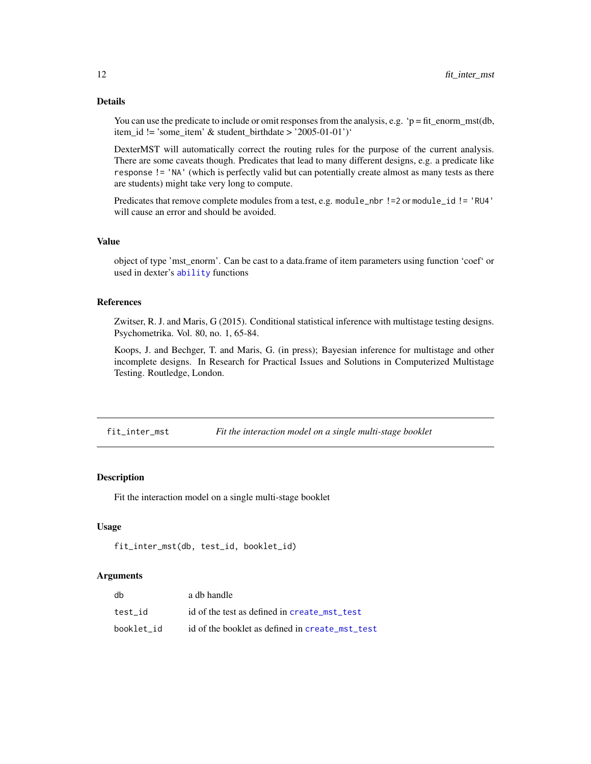You can use the predicate to include or omit responses from the analysis, e.g. ' $p = fit\_enorm\_mst(db,$ item\_id != 'some\_item' & student\_birthdate > '2005-01-01')'

DexterMST will automatically correct the routing rules for the purpose of the current analysis. There are some caveats though. Predicates that lead to many different designs, e.g. a predicate like response != 'NA' (which is perfectly valid but can potentially create almost as many tests as there are students) might take very long to compute.

Predicates that remove complete modules from a test, e.g. module\_nbr !=2 or module\_id != 'RU4' will cause an error and should be avoided.

#### Value

object of type 'mst\_enorm'. Can be cast to a data.frame of item parameters using function 'coef' or used in dexter's [ability](#page-0-0) functions

### References

Zwitser, R. J. and Maris, G (2015). Conditional statistical inference with multistage testing designs. Psychometrika. Vol. 80, no. 1, 65-84.

Koops, J. and Bechger, T. and Maris, G. (in press); Bayesian inference for multistage and other incomplete designs. In Research for Practical Issues and Solutions in Computerized Multistage Testing. Routledge, London.

<span id="page-11-1"></span>fit\_inter\_mst *Fit the interaction model on a single multi-stage booklet*

#### Description

Fit the interaction model on a single multi-stage booklet

#### Usage

```
fit_inter_mst(db, test_id, booklet_id)
```

| db         | a db handle                                     |
|------------|-------------------------------------------------|
| test id    | id of the test as defined in create mst test    |
| booklet id | id of the booklet as defined in create mst test |

<span id="page-11-0"></span>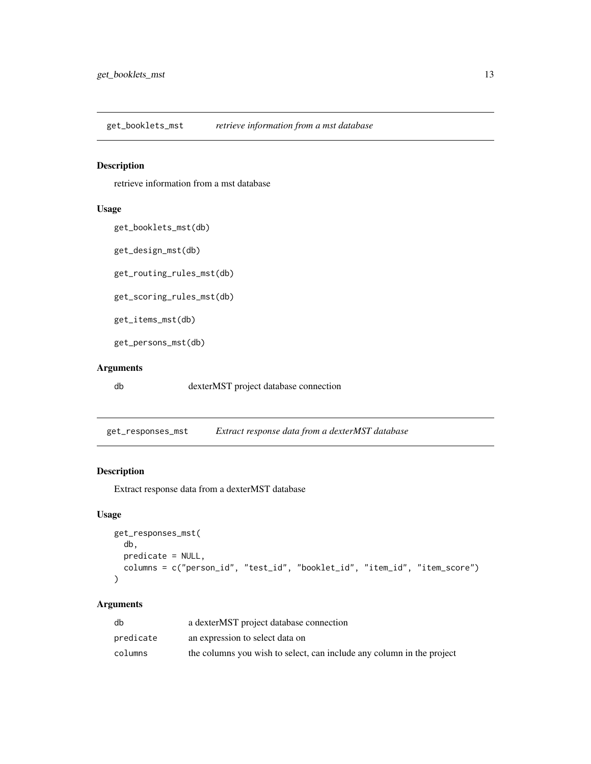<span id="page-12-0"></span>get\_booklets\_mst *retrieve information from a mst database*

# Description

retrieve information from a mst database

#### Usage

```
get_booklets_mst(db)
```
get\_design\_mst(db)

get\_routing\_rules\_mst(db)

get\_scoring\_rules\_mst(db)

get\_items\_mst(db)

get\_persons\_mst(db)

# Arguments

db dexterMST project database connection

get\_responses\_mst *Extract response data from a dexterMST database*

# Description

Extract response data from a dexterMST database

# Usage

```
get_responses_mst(
 db,
 predicate = NULL,
 columns = c("person_id", "test_id", "booklet_id", "item_id", "item_score")
)
```

| db        | a dexterMST project database connection                               |
|-----------|-----------------------------------------------------------------------|
| predicate | an expression to select data on                                       |
| columns   | the columns you wish to select, can include any column in the project |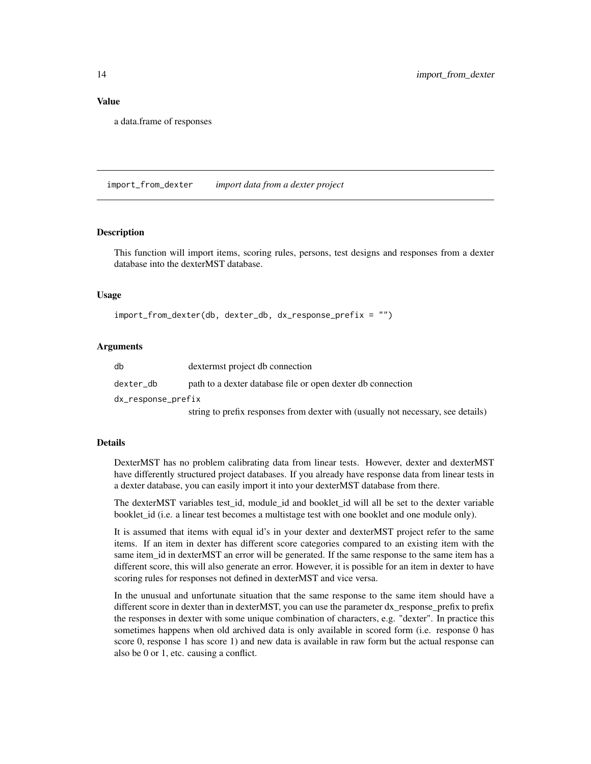# Value

a data.frame of responses

import\_from\_dexter *import data from a dexter project*

# **Description**

This function will import items, scoring rules, persons, test designs and responses from a dexter database into the dexterMST database.

#### Usage

```
import_from_dexter(db, dexter_db, dx_response_prefix = "")
```
#### Arguments

| db                 | dextermst project db connection                                                  |
|--------------------|----------------------------------------------------------------------------------|
| dexter db          | path to a dexter database file or open dexter db connection                      |
| dx_response_prefix |                                                                                  |
|                    | string to prefix responses from dexter with (usually not necessary, see details) |

#### Details

DexterMST has no problem calibrating data from linear tests. However, dexter and dexterMST have differently structured project databases. If you already have response data from linear tests in a dexter database, you can easily import it into your dexterMST database from there.

The dexterMST variables test\_id, module\_id and booklet\_id will all be set to the dexter variable booklet\_id (i.e. a linear test becomes a multistage test with one booklet and one module only).

It is assumed that items with equal id's in your dexter and dexterMST project refer to the same items. If an item in dexter has different score categories compared to an existing item with the same item\_id in dexterMST an error will be generated. If the same response to the same item has a different score, this will also generate an error. However, it is possible for an item in dexter to have scoring rules for responses not defined in dexterMST and vice versa.

In the unusual and unfortunate situation that the same response to the same item should have a different score in dexter than in dexterMST, you can use the parameter dx\_response\_prefix to prefix the responses in dexter with some unique combination of characters, e.g. "dexter". In practice this sometimes happens when old archived data is only available in scored form (i.e. response 0 has score 0, response 1 has score 1) and new data is available in raw form but the actual response can also be 0 or 1, etc. causing a conflict.

<span id="page-13-0"></span>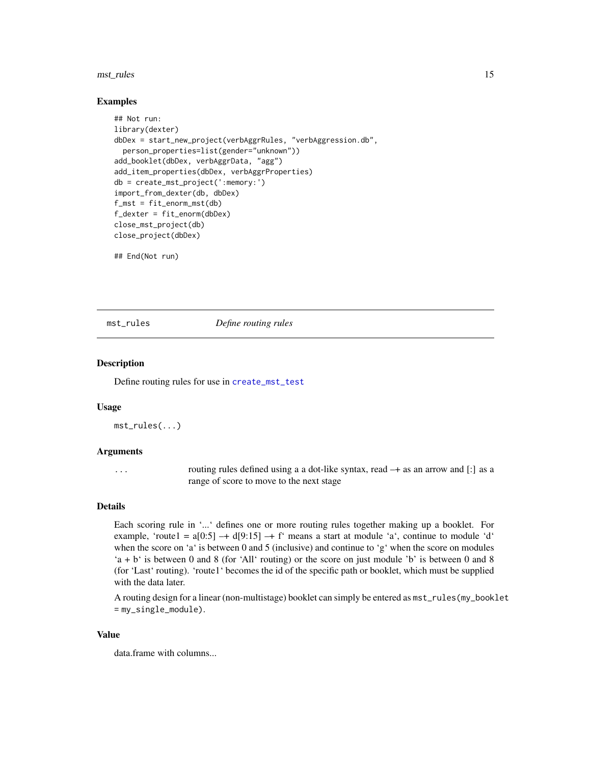#### <span id="page-14-0"></span>mst\_rules 15

#### Examples

```
## Not run:
library(dexter)
dbDex = start_new_project(verbAggrRules, "verbAggression.db",
 person_properties=list(gender="unknown"))
add_booklet(dbDex, verbAggrData, "agg")
add_item_properties(dbDex, verbAggrProperties)
db = create_mst_project(':memory:')
import_from_dexter(db, dbDex)
f_mst = fit\_enorm_mst(db)f_dexter = fit_enorm(dbDex)
close_mst_project(db)
close_project(dbDex)
```
## End(Not run)

<span id="page-14-1"></span>mst\_rules *Define routing rules*

#### **Description**

Define routing rules for use in [create\\_mst\\_test](#page-6-1)

#### Usage

mst\_rules(...)

#### Arguments

... routing rules defined using a a dot-like syntax, read –+ as an arrow and [:] as a range of score to move to the next stage

#### Details

Each scoring rule in '...' defines one or more routing rules together making up a booklet. For example, 'route1 =  $a[0:5]$  -+  $d[9:15]$  -+ f' means a start at module 'a', continue to module 'd' when the score on 'a' is between 0 and 5 (inclusive) and continue to 'g' when the score on modules 'a + b' is between 0 and 8 (for 'All' routing) or the score on just module 'b' is between 0 and 8 (for 'Last' routing). 'route1' becomes the id of the specific path or booklet, which must be supplied with the data later.

A routing design for a linear (non-multistage) booklet can simply be entered as mst\_rules(my\_booklet = my\_single\_module).

#### Value

data.frame with columns...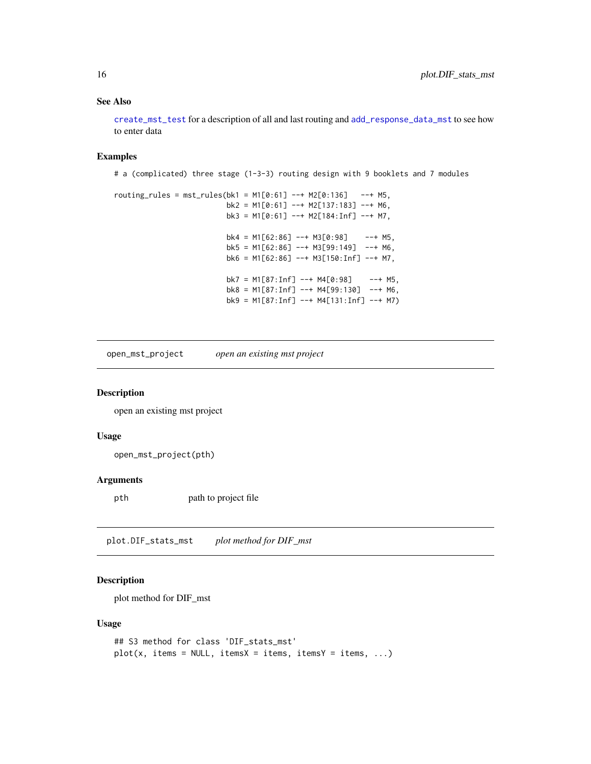#### See Also

[create\\_mst\\_test](#page-6-1) for a description of all and last routing and [add\\_response\\_data\\_mst](#page-3-1) to see how to enter data

### Examples

```
# a (complicated) three stage (1-3-3) routing design with 9 booklets and 7 modules
routines\_rules = mst\_rules(bk1 = M1[0:61] --+ M2[0:136] --+ M5,bk2 = M1[0:61] --+ M2[137:183] --+ M6,
                         bk3 = M1[0:61] --+ M2[184:Inf] --+ M7,
                         bk4 = M1[62:86] --+ M3[0:98] --+ M5,
                         bk5 = M1[62:86] --+ M3[99:149] --+ M6,
                         bk6 = M1[62:86] --+ M3[150:Inf] --+ M7,
                         bk7 = M1[87:Inf] --+ M4[0:98] --+ MS,
                         bk8 = M1[87:Inf] --+ M4[99:130] --+ M6,
                         bk9 = M1[87:Inf] --+ M4[131:Inf] --+ M7)
```
<span id="page-15-1"></span>open\_mst\_project *open an existing mst project*

#### Description

open an existing mst project

#### Usage

open\_mst\_project(pth)

#### Arguments

pth path to project file

plot.DIF\_stats\_mst *plot method for DIF\_mst*

#### Description

plot method for DIF\_mst

#### Usage

```
## S3 method for class 'DIF_stats_mst'
plot(x, items = NULL, items = items, items, items = items, ...)
```
<span id="page-15-0"></span>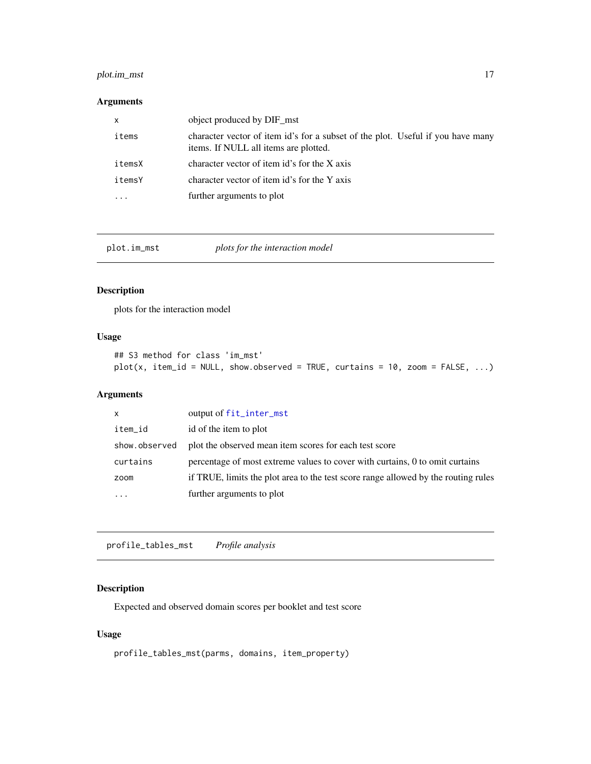# <span id="page-16-0"></span>plot.im\_mst 17

# Arguments

| х      | object produced by DIF_mst                                                                                               |
|--------|--------------------------------------------------------------------------------------------------------------------------|
| items  | character vector of item id's for a subset of the plot. Useful if you have many<br>items. If NULL all items are plotted. |
| itemsX | character vector of item id's for the X axis                                                                             |
| itemsY | character vector of item id's for the Y axis                                                                             |
|        | further arguments to plot                                                                                                |

plot.im\_mst *plots for the interaction model*

# Description

plots for the interaction model

# Usage

```
## S3 method for class 'im_mst'
plot(x, item_id = NULL, show.observed = TRUE, curtains = 10, zoom = FALSE, ...)
```
# Arguments

| $\mathsf{x}$  | output of fit_inter_mst                                                            |
|---------------|------------------------------------------------------------------------------------|
| item_id       | id of the item to plot                                                             |
| show.observed | plot the observed mean item scores for each test score                             |
| curtains      | percentage of most extreme values to cover with curtains, 0 to omit curtains       |
| zoom          | if TRUE, limits the plot area to the test score range allowed by the routing rules |
| $\cdots$      | further arguments to plot                                                          |

profile\_tables\_mst *Profile analysis*

# Description

Expected and observed domain scores per booklet and test score

# Usage

```
profile_tables_mst(parms, domains, item_property)
```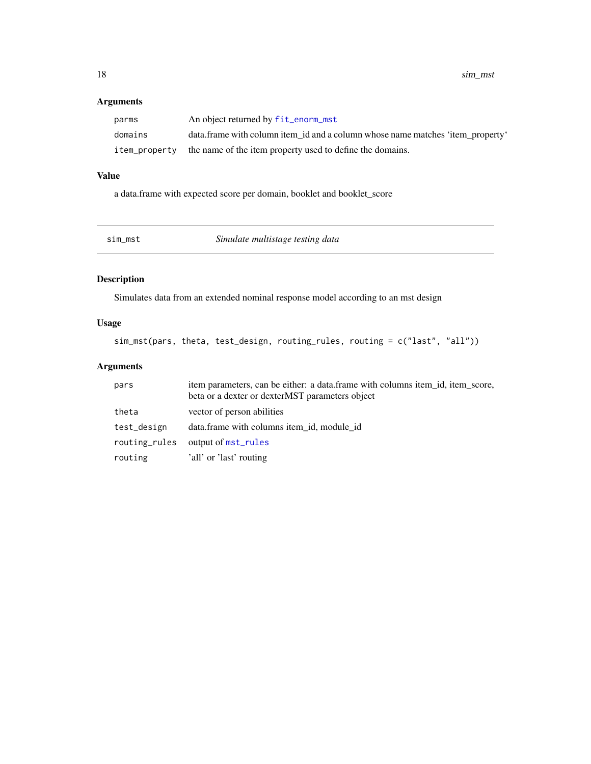# <span id="page-17-0"></span>Arguments

| parms   | An object returned by fit_enorm_mst                                            |
|---------|--------------------------------------------------------------------------------|
| domains | data.frame with column item id and a column whose name matches 'item property' |
|         | item property the name of the item property used to define the domains.        |

# Value

a data.frame with expected score per domain, booklet and booklet\_score

| sim mst | Simulate multistage testing data |
|---------|----------------------------------|
|---------|----------------------------------|

# Description

Simulates data from an extended nominal response model according to an mst design

# Usage

sim\_mst(pars, theta, test\_design, routing\_rules, routing = c("last", "all"))

| pars          | item parameters, can be either: a data frame with columns item id, item score,<br>beta or a dexter or dexterMST parameters object |
|---------------|-----------------------------------------------------------------------------------------------------------------------------------|
| theta         | vector of person abilities                                                                                                        |
| test_design   | data.frame with columns item_id, module_id                                                                                        |
| routing_rules | output of mst_rules                                                                                                               |
| routing       | 'all' or 'last' routing                                                                                                           |